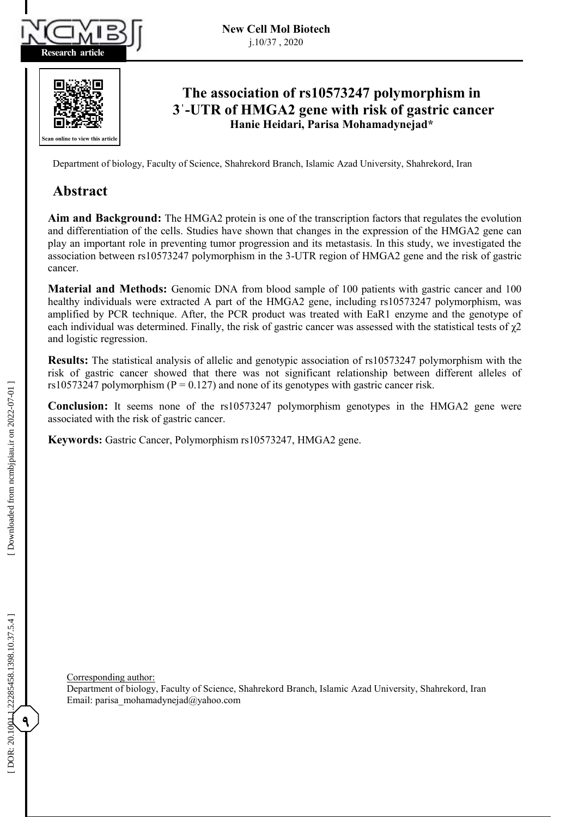

**Research article**



# **The association of rs10573247 polymorphism in 3'-UTR of HMGA2 gene with risk of gastric cancer Hanie Heidari, Parisa Mohamadynejad\***

**Abstract** Department of biology, Faculty of Science, Shahrekord Branch, Islamic Azad University, Shahrekord, Iran Department of biology, Faculty of Science, Shahrekord Branch, Islamic Azad University, Shahrekord, Iran

#### **A A Background Abstract Abstract**

Aim and Background: The HMGA2 protein is one of the transcription factors that regulates the evolution and differentiation of the cells. Studies have shown that changes in the expression of the HMGA2 gene can play an important role in preventing tumor progression and its metastasis. In this study, we investigated the **Methods:** Genomic DNA from blood sample of 100 patients with gastric cancer and 100 association between rs10573247 polymorphism in the 3-UTR region of HMGA2 gene and the risk of gastric cancer. cancer.

Material and Methods: Genomic DNA from blood sample of 100 patients with gastric cancer and 100 healthy individuals were extracted A part of the HMGA2 gene, including rs10573247 polymorphism, was amplified by PCR technique. After, the PCR product was treated with EaR1 enzyme and the genotype of **Results:** The statistical analysis of allegenotypic and generalize and general  $\alpha$ <sup>3</sup> each individual was determined. Finally, the risk of gastric cancer was assessed with the statistical tests of  $\chi$ 2 and logistic regression. and logistic regression.

risk of gastric cancer showed that there was not significant relationship between different alleles of Results: The statistical analysis of allelic and genotypic association of rs10573247 polymorphism with the  $\frac{1}{2}$  rs10573247 polymorphism (P = 0.127) and none of its genotypes with gastric cancer risk. risk of gastric cancer showed that there was not significant relationship between different alleles of risk of gastric cancer showed that there was not significant relationship between different alleles of

associated with the risk of gastric cancer. **EXECUTE THE TEXT OF THE LEGAL FOR THE POLYMORE CONSERVATION Property filters Conclusion:** It seems none of the rs10573247 polymorphism genotypes in the HMGA2 gene were

**Keywords :** Gastric Cancer, Polymorphism rs10573247, HMGA2 gene. **Keywords :** Gastric Cancer, Polymorphism rs10573247, HMGA2 gene.

Corresponding author: parisa amohamadiyada yahoo.com

Department of biology, Faculty of Science, Shahrekord Branch, Islamic Azad University, Shahrekord, Iran Department of biology, Faculty of Science, Shahrekord Branch, Islamic Azad University, Shahrekord, Iran Email : parisa\_mohamadynejad@yahoo.com Email : parisa\_mohamadynejad@yahoo.com

**9**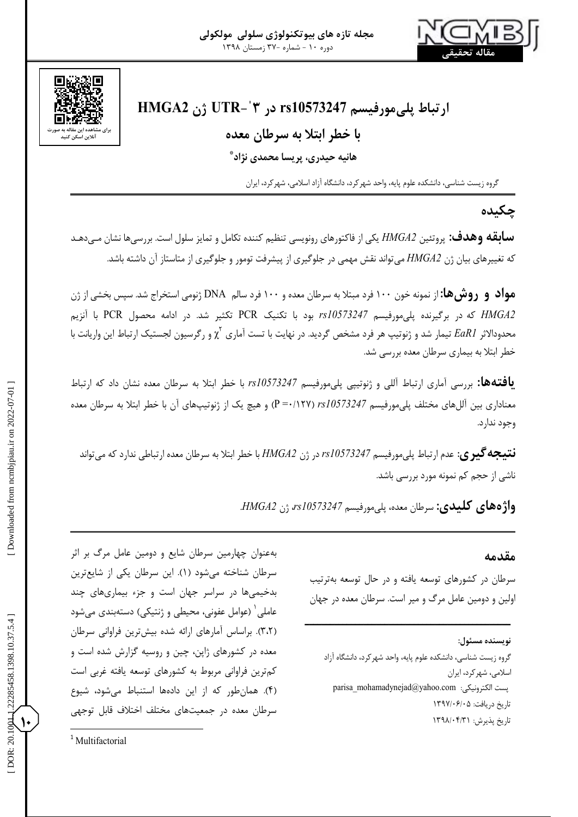

# **HMGA2 ژن UTR - ˈ ارتباط پلیمورفیسم 10573247rs در 3**

## **با خطر ابتال به سرطان معده**

**هانیه حیدری، پریسا محمدی نژاد \***

گروه زیست شناسی، دانشکده علوم پایه، واحد شهرکرد، دانشگاه آزاد اسالمی، شهرکرد، ایران

**چکیده**

پروتئین *2HMGA* یکی از فاکتورهای رونویسی تنظیم کننده تکامل و تمایز سلول است. بررسیها نشان میی دهید **سابقه وهدف:** که تغییرهای بیان ژن *2HMGA* میتواند نقش مهمی در جلوگیری از پیشرفت تومور و جلوگیری از متاستاز آن داشته باشد.

**مواد و روشها:** از نمونه خون 755 فرد مبتال به سرطان معده و 755 فرد سالم DNA ژنومی استخراج شد. سپس بخشی از ژن *2HMGA* که در برگیرنده پلیمورفیسم *10573247rs* بود با تکنیک PCR تکثیر شد. در ادامه محصول PCR با آنزیم ژنوتیپ هر فرد مشخص گردید. در نهایت با تست آماری محدوداالثر *1EaR* تیمار شد و χ و رگرسیون لجستیک ارتباط این واریانت با <sup>2</sup> خطر ابتال به بیماری سرطان معده بررسی شد.

یافتهها: بررسی آماری ارتباط آللی و ژنوتیپی پلیمورفیسم 10573247 با خطر ابتلا به سرطان معده نشان داد که ارتباط معناداری بین آللهای مختلف پل<sub>ی</sub>مورفیسم rs10573247 (P=•/۱۲۷) و هیچ یک از ژنوتیپهای آن با خطر ابتلا به سرطان معده وجود ندارد.

عدم ارتباط پلیمورفیسم *10573247rs* در ژن *2HMGA* با خطر ابتال به سرطان معده ارتباطی ندارد که میتواند **نتیجهگیری**: ناشی از حجم کم نمونه مورد بررسی باشد.

سرطان معده، پلیمورفیسم *10573247rs*، ژن *2HMGA*. **واژههای کلیدی:**

**مقدمه**

سرطان در کشورهای توسعه یافته و در حال توسعه بهترتیب اولین و دومین عامل مرگ و میر است. سرطان معده در جهان

**ـــــــــــــــــــــــــــــــــــــــــــــــــ**

**نویسنده مسئول:**

گروه زیست شناسی، دانشکده علوم پایه، واحد شهر کرد، دانشگاه ازاد اسالمی، شهرکرد، ایران parisa\_mohamadynejad@yahoo.com :الکترونیکی پست ناریخ دریافت: ۱۳۹۷/۰۶/۰۵ ناریخ پذیرش: ۱۳۹۸/۰۴/۳۱

بهعنوان چهارمین سرطان شایع و دومین عامل مرگ بر اثر سرطان شناخته میشود (۱). این سرطان یکی از شایعترین بدخیمیها در سراسر جهان است و جزء بیماریهای چند عاملی $^{\backprime}$  (عوامل عفونی، محیطی و ژنتیکی) دستهبندی میشود (۳،۲). براساس امارهای ارائه شده بیشترین فراوانی سرطان معده در کشورهای ژاپن، چین و روسیه گزارش شده است و کمترین فراوانی مربوط به کشورهای توسعه یافته غربی است . همانطور که از این دادهها استنباط میشود، شیوع ) 0 ( سرطان معده در جمعیتهای مختلف اختالف قابل توجهی

**10**

<sup>&</sup>lt;sup>1</sup> Multifactorial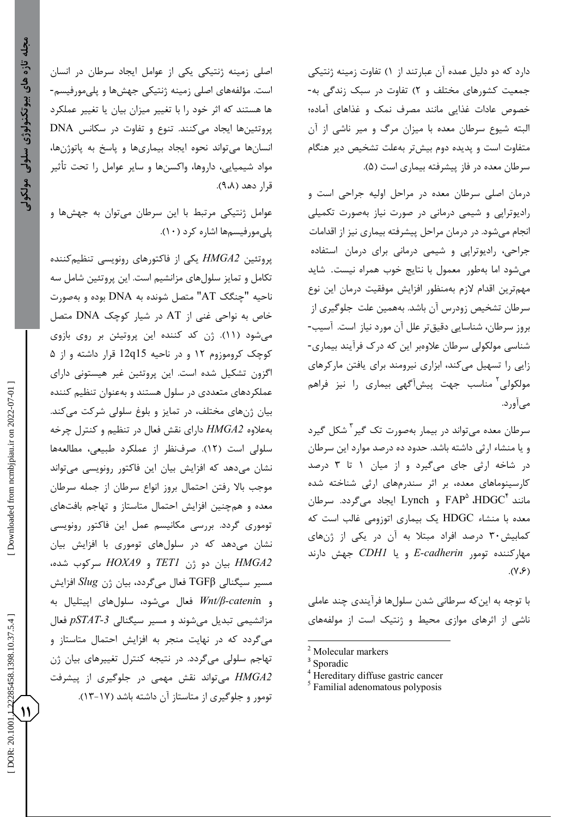اصلی زمینه ژنتیکی یکی از عوامل ایجاد سرطان در انسان<br>است. مؤلفههای اصلی زمینه ژنتیکی جهش ها و یلی مورفیسم-ها هستند که اثر خود را با تغییر میزان بیان یا تغییر عملکرد پروتئینها ایجاد میکنند. تنوع و تفاوت در سکانس DNA انسانها میتواند نحوه ایجاد بیماریها و پاسخ به پاتوژنها، مواد شیمیایی، داروها، واکسنها و سایر عوامل را تحت تأثیر قرار دهد (۹،۸).

عوامل ژنتیکی مرتبط با این سرطان میتوان به جهشها و پلیمورفیسمها اشاره کرد (۱۰).

پروتئین *2HMGA* یکی از فاکتورهای رونویسی تنظیمکننده تکامل و تمایز سلولهای مزانشیم است. این پروتئین شامل سه متصل شونده به DNA بوده و بهصورت چنگک AT" ناحیه " خاص به نواحی غنی از AT در شیار کوچک DNA متصل میشود (۱۱). ژن کد کننده این پروتیئن بر روی بازوی کوچک کروموزوم 72 و در ناحیه 15q12 قرار داشته و از 0 اگزون تشکیل شده است. این پروتئین غیر هیستونی دارای عملکردهای متعددی در سلول هستند و بهعنوان تنظیم کننده بیان ژنهای مختلف، در تمایز و بلوغ سلولی شرکت میکند. بهعالوه *2HMGA* دارای نقش فعال در تنظیم و کنترل چرخه سلولی است (١٢). صرفنظر از عملکرد طبیعی، مطالعهها نشان میدهد که افزایش بیان این فاکتور رونویسی میتواند موجب باال رفتن احتمال بروز انواع سرطان از جمله سرطان چنین افزایش احتمال متاستاز و تهاجم بافتهای معده و هم توموری گردد. بررسی مکانیسم عمل این فاکتور رونویسی نشان میدهد که در سلولهای توموری با افزایش بیان *2HMGA* بیان دو ژن *1TET* و *9HOXA* سرکوب شده، مسیر سیگنالی TGFβ فعال میگردد، بیان ژن *Slug* افزایش *β/Wnt* فعال میشود، سلولهای اپیتلیال به *-cateni* n و مزانشیمی تبدیل میشوند و مسیر سیگنالی *-3pSTAT* فعال میگردد که در نهایت منجر به افزایش احتمال متاستاز و تهاجم سلولی میگردد. در نتیجه کنترل تغییرهای بیان ژن تومور و جلوگیری از متاستاز آن داشته باشد )79-71(. *2HMGA* میتواند نقش مهمی در جلوگیری از پیشرفت دارد که دو دلیل عمده آن عبارتند از ۱) تفاوت زمینه ژنتیکی جمعیت کشورهای مختلف و ۲) تفاوت در سبک زندگی به-خصوص عادات غذایی مانند مصرف نمک و غذاهای آماده؛ البته شیوع سرطان معده با میزان مرگ و میر ناشی از آن متفاوت است و پدیده دوم بیشتر بهعلت تشخیص دیر هنگام<br>سرطان معده در فاز پیشرفته بیماری است (۵).<br>درمان اصلی سرطان معده در مراحل اولیه جراحی است و

رادیوتراپی و شیمی درمانی در صورت نیاز بهصورت تکمیلی انجام میشود. در درمان مراحل پیشرفته بیماری نیز از اقدامات جراحی، رادیوتراپی و شیمی درمانی برای درمان استفاده میشود اما بهطور معمول با نتایج خوب همراه نیست. شاید مهمترین اقدام الزم بهمنظور افزایش موفقیت درمان این نوع سرطان تشخیص زودرس آن باشد. بههمین علت جلوگیری از بروز سرطان، شناسایی دقیقتر علل آن مورد نیاز است. آسیب-<br>شناسی مولکولی سرطان علاوهبر این که درک فرآیند بیماری-زایی را تسهیل میکند، ابزاری نیرومند برای یافتن مارکرهای مولکولی<sup>۲</sup> مناسب جهت پیشآگهی بیماری را نیز فراهم میآورد.

سرطان معده میتواند در بیمار بهصورت تک گیر<sup>۳</sup> شکل گیرد و یا منشاء ارثی داشته باشد. حدود ده درصد موارد این سرطان در شاخه ارثی جای میگیرد و از میان ۱ تا ۳ درصد کارسینوماهای معده، بر اثر سندرمهای ارثی شناخته شده و Lynch ایجاد میگردد. سرطان FAP<sup>۵</sup> ،HDGC HDGC یک بیماری اتوزومی غالب است که معده با منشاء کمابیش95 درصد افراد مبتال به آن در یکی از ژنهای و یا *1CDH* جهش دارند *E* )1،0(. مهارکننده تومور *cadherin-*

با توجه به اینکه سرطانی شدن سلولها فرآیندی چند عاملی ناشی از اثرهای موازی محیط و ژنتیک است از مولفههای

**11**

122285458.1398.10.37.5.4

DOR: 20.1001

<sup>&</sup>lt;sup>2</sup> Molecular markers<br>
<sup>3</sup> Sporadic<br>
<sup>4</sup> Hereditary diffuse gastric cancer<br>
<sup>5</sup> Familial adenomatous polyposis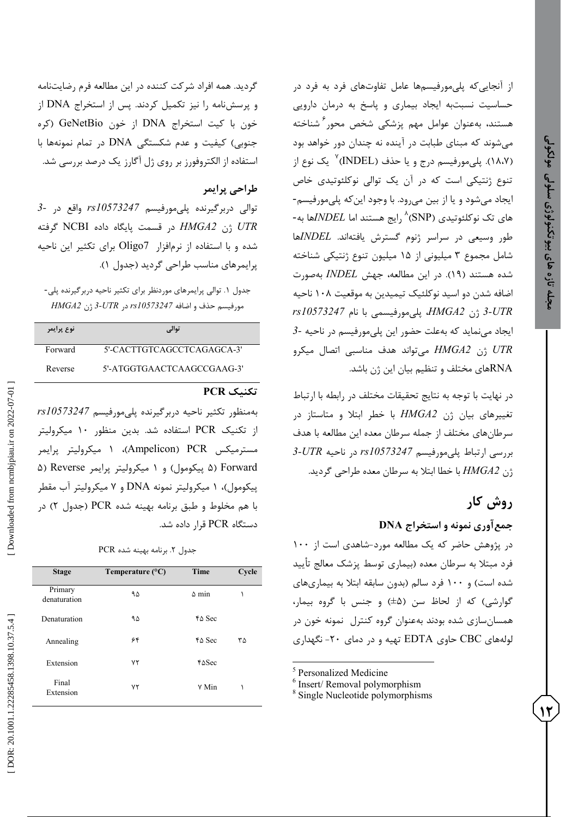از آنجاییکه پلیمورفیسمها عامل تفاوتهای فرد به فرد در حساسیت نسبتبه ایجاد بیماری و پاسخ به درمان دارویی هستند، بهعنوان عوامل مهم پزشکی شخص محور شناخته <sup>0</sup> میشوند که مبنای طبابت در آینده نه چندان دور خواهد بود<br>(۱۸،۷). پلیمورفیسم درج و یا حذف (INDEL)<sup>۷</sup> یک نوع از تنوع ژنتیکی است که در آن یک توالی نوکلئوتیدی خاص<br>ایجاد میشود و یا از بین میرود. با وجود اینکه پلیمورفیسم-<br>های تک نوکلئوتیدی (SNP<sup>) ۸</sup>رایج هستند اما *NDELه*ا به-طور وسیعی در سراسر ژنوم گسترش یافتهاند. *INDEL*ها شامل مجموع ۳ میلیونی از ۱۵ میلیون تنوع ژنتیکی شناخته شده هستند (۱۹). در این مطالعه، جهش *INDEL* بهصورت ضافه شدن دو اسید نوکلئیک تیمیدین به موقعیت ۱۰۸ ناحیه با نام *10573247rs* مورفیسمی ژن *2HMGA*، پلی *3 -UTR 3* که بهعلت حضور این پلیمورفیسم در ناحیه *-* نماید یجاد می ا<br>ا اتصال میکرو تواند هدف مناسبی *UTR* ژن *2HMGA* می RNAهای مختلف و تنظیم بیان این ژن باشد.

در نهایت با توجه به نتایج تحقیقات مختلف در رابطه با ارتباط بیان ژن *2HMGA* با خطر ابتال و متاستاز در تغییرهای سرطانهای مختلف از جمله سرطان معده این مطالعه با هدف *3 -UTR* مورفیسم *10573247rs* در ناحیه ارتباط پلی بررسی . گردید بتال به سرطان معده طراحی ژن *2HMGA* با خطا ا

# **روش کار**

**12**

**نمونه و استخراج DNA جمعآوری**

در پژوهش حاضر که یک مطالعه مورد-شاهدی است از ۱۰۰ فرد مبتال به سرطان معده )بیماری توسط پزشک معالج تأیید شده است) و ۱۰۰ فرد سالم (بدون سابقه ابتلا به بیماریهای گوارشی) که از لحاظ سن (a±) و جنس با گروه بیمار، همسانسازی شده بودند بهعنوان گروه کنترل نمونه خون در نگهداری لولههای CBC حاوی EDTA تهیه و در دمای -25

<sup>5</sup> Personalized Medicine  $\frac{6}{\text{Insert}}$  Insert/ Removal polymorphism  $\frac{8}{\text{Single Nucleotide polymorphisms}}$ 

گردید. همه افراد شرکت کننده در این مطالعه فرم رضایتنامه و پرسشنامه را نیز تکمیل کردند. پس از استخراج DNA از خون با کیت استخراج DNA از خون GeNetBio( کره جنوبی( کیفیت و عدم شکستگی DNA در تمام نمونهها با استفاده از الکتروفورز بر روی ژل آگارز یک درصد بررسی شد.

### **طراحی پرایمر**

*3* توالی دربرگیرنده پلیمورفیسم *10573247rs* واقع در *- UTR* ژن *2HMGA* در قسمت پایگاه داده NCBI گرفته شده و با استفاده از نرمافزار 7Oligo برای تکثیر این ناحیه پرایمرهای مناسب طراحی گردید (جدول ۱).

جدول ۱. توالی پرایمرهای موردنظر برای تکثیر ناحیه دربرگیرنده پلی-ژن *2HMGA 3* مورفیسم حذف و اضافه *10573247rs* در *UTR-*

| نوع يرايمر | توالی                      |
|------------|----------------------------|
| Forward    | 5'-CACTTGTCAGCCTCAGAGCA-3' |
| Reverse    | 5'-ATGGTGAACTCAAGCCGAAG-3' |

### **تکنیک PCR**

بهمنظور تکثیر ناحیه دربرگیرنده پلیمورفیسم *10573247rs* از تکنیک PCR استفاده شد. بدین منظور 75 میکرولیتر میکرولیتر پرایمر 7 ،)Ampelicon مسترمیکس PCR( ۵) Reverse و ۱ میکرولیتر پرایمر Reverse (۵) پیکومول)، ۱ میکرولیتر نمونه DNA و ۷ میکرولیتر آب مقطر ( در با هم مخلوط و طبق برنامه بهینه شده PCR( جدول 2 دستگاه PCR قرار داده شد.

. برنامه بهینه شده PCR جدول 2

| <b>Stage</b>            | Temperature $(^{\circ}C)$ | <b>Time</b>                  | Cycle |
|-------------------------|---------------------------|------------------------------|-------|
| Primary<br>denaturation | ۹۵                        | $\Delta$ min                 |       |
| Denaturation            | ۹۵                        | $\uparrow \Delta$ Sec        |       |
| Annealing               | ۶۴                        | $\uparrow \Delta$ Sec        | ٣۵    |
| Extension               | ٧٢                        | $\texttt{f}\Delta\text{Sec}$ |       |
| Final<br>Extension      | ٧٢                        | V Min                        |       |

Downloaded from nembjpiau.ir on 2022-07-01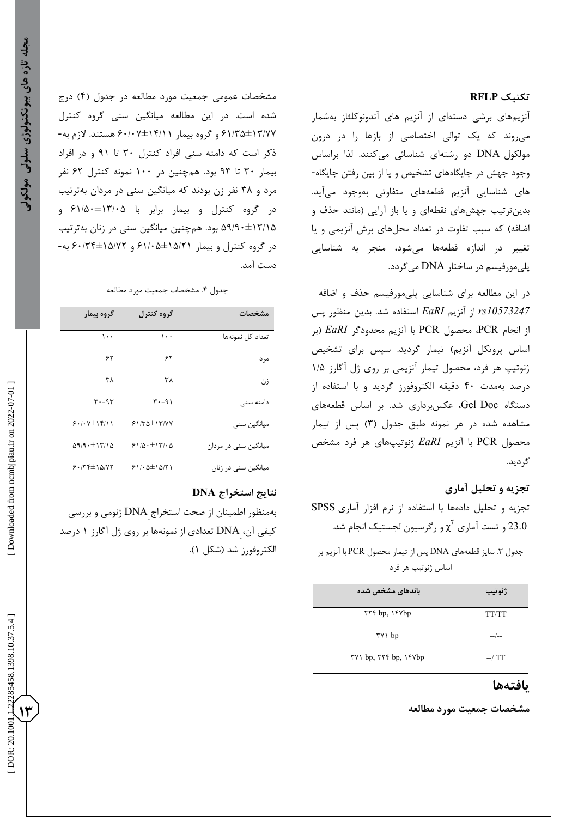### **تکنیک RFLP**

آنزیمهای برشی دستهای از آنزیم های آندونوکلئاز بهشمار میروند که یک توالی اختصاصی از بازها را در درون مولکول DNA دو رشتهای شناسائی میکنند. لذا براساس<br>وجود جهش در جایگاههای تشخیص و یا از بین رفتن جایگاه-های شناسایی آنزیم قطعههای متفاوتی بهوجود میآید. بدینترتیب جهشهای نقطهای و یا باز آرایی )مانند حذف و اضافه) که سبب تفاوت در تعداد محلهای برش آنزیمی و یا تغییر در اندازه قطعهها میشود، منجر به شناسایی پلیمورفیسم در ساختار DNA میگردد.

در این مطالعه برای شناسایی پلیمورفیسم حذف و اضافه *10573247rs* از آنزیم *EaRI* استفاده شد. بدین منظور پس از انجام PCR، محصول PCR با آنزیم محدودگر *EaRI*( بر اساس پروتکل آنزیم) تیمار گردید. سپس برای تشخیص<br>ژنوتیپ هر فرد، محصول تیمار آنزیمی بر روی ژل آگارز ۱/۵ درصد بهمدت 05 دقیقه الکتروفورز گردید و با استفاده از های دستگاه Doc Gel، عکسبرداری شد. بر اساس قطعه مشاهده شده در هر نمونه طبق جدول (۳) پس از تیمار محصول PCR با آنزیم *EaRI* ژنوتیپهای هر فرد مشخص گردید.

### **تجزیه و تحلیل آماری**

SPSS تجزیه و تحلیل دادهها با استفاده از نرم افزار آماری<br>23.0 و تست آماری  $\chi^Y$ و رگرسیون لجستیک انجام شد.

های DNA پس از تیمار محصول PCR با آنزیم بر . سایز قطعه جدول 9 اساس ژنوتیپ هر فرد

| باندهای مشخص شده     | ژنوتیپ       |
|----------------------|--------------|
| <b>TYF</b> bp, IFVbp | <b>TT/TT</b> |
| ۳۷۱ bp               | $-$ / $-$    |
| TV bp, TTF bp, IFVbp | $-7T$        |

### **یافتهها**

**مشخصات جمعیت مورد مطالعه** 

مشخصات عمومی جمعیت مورد مطالعه در جدول (۴) درج 07/90±79/11 و گروه بیمار 05/51±70/77 هستند. الزم به- شده است. در این مطالعه میانگین سنی گروه کنترل ذکر است که دامنه سنی افراد کنترل 95 تا 37 و در افراد بیمار 95 تا 39 بود. همچنین در 755 نمونه کنترل 02 نفر مرد و 91 نفر زن بودند که میانگین سنی در مردان بهترتیب در گروه کنترل و بیمار برابر با ۶۱/۵۰±۱۳/۰۵ و ۵۹/۹۰±۱۳/۱۵ بود. همچنین میانگین سنی در زنان بهترتیب در گروه کنترل و بیمار ۱۵/۲۱±۶۰/۶۹ و ۱۵/۷۲±۶۰/۳۴ به-دست آمد.

#### جدول ۴. مشخصات جمعیت مورد مطالعه

| مشخصات                | گروه کنترل                        | گروه بیمار                       |
|-----------------------|-----------------------------------|----------------------------------|
| تعداد کل نمونهها      | ۰۰۱                               | ۱۰۰                              |
| مر د                  | ۶۲                                | ۶۲                               |
| زن                    | ۳۸                                | ۳۸                               |
| دامنه سنے             | $T - 91$                          | $r - 9r$                         |
| میانگین سنی           | $51/84 \pm 17/8$                  | $5.1.7\pm15/11$                  |
| میانگین سنے، در مردان | 51/0.111/0                        | $\Delta$ 9/9 $\cdot$ $\pm$ 17/18 |
| میانگین سنے در زنان   | $51/\cdot \Delta \pm 1 \Delta/T1$ | $5.775\pm10.077$                 |

#### **نتایج استخراج DNA**

بهمنظور اطمینان از صحت استخراج ِDNA ژنومی و بررسی کیفی آن، DNA تعدادی از نمونهها بر روی ژل آگارز ۱ درصد الکتروفورز شد (شکل ۱).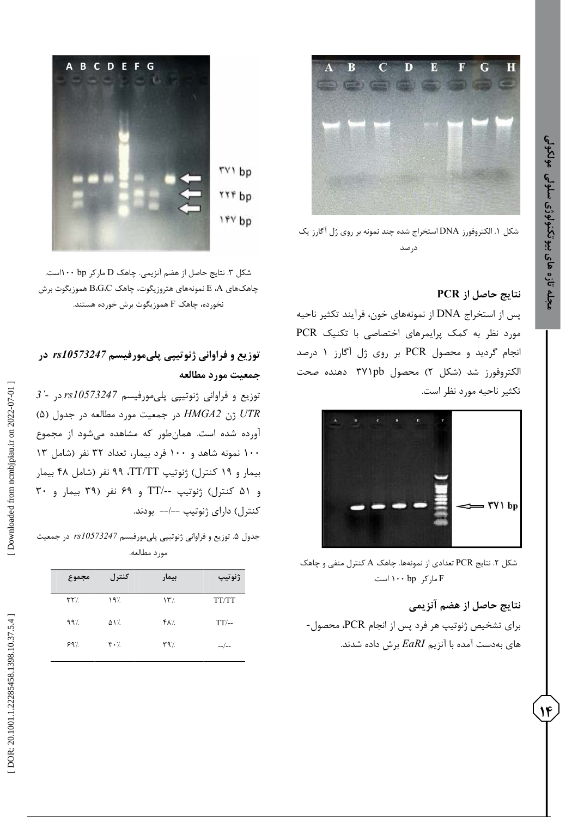

. الکتروفورز DNA استخراج شده چند نمونه بر روی ژل آگارز یک شکل 7 درصد

### **نتایج حاصل از PCR**

پس از استخراج DNA از نمونههای خون، فرآیند تکثیر ناحیه مورد نظر به کمک پرایمرهای اختصاصی با تکنیک PCR درصد انجام گردید و محصول PCR بر روی ژل آگارز 7 لکتروفورز شد (شکل ۲) محصول ۳۷۱pb دهنده صحت تکثیر ناحیه مورد نظر است.



کنترل منفی و چاهک . نتایج PCR تعدادی از نمونهها. چاهک A شکل 2 مارکر bp 755 است. F

#### **نتایج حاصل از هضم آنزیمی**

برای تشخیص ژنوتیپ هر فرد پس از انجام PCR، محصول- های بهدست آمده با آنزیم *EaRI* برش داده شدند.



مارکر bp 755است. . نتایج حاصل از هضم آنزیمی. چاهک D شکل 9 چاهک $\rm{d}$ ی G،G،C بهونههای هتروزیگوت، چاهک $\rm{B.G}$  هموزیگوت برش هموزیگوت برش خورده هستند. نخورده، چاهک F

## **توزیع و فراوانی ژنوتیپی پلیمورفیسم** *10573247rs* **در جمعیت مورد مطالعه**

*3ˈ* توزیع و فراوانی ژنوتیپی پلیمورفیسم *10573247rs* در *-* ) *UTR* ژن *2HMGA* در جمعیت مورد مطالعه در جدول )0 آورده شده است. همانطور که مشاهده میشود از مجموع 755 نمونه شاهد و 755 فرد بیمار، تعداد 92 نفر )شامل 79 بیمار و 73 کنترل( ژنوتیپ TT/TT، 33 نفر )شامل 01 بیمار و 07 کنترل( ژنوتیپ /--TT و 03 نفر )93 بیمار و 95 کنترل) دارای ژنوتیپ ––/–– بودند.

. توزیع و فراوانی ژنوتیپی پلیمورفیسم *10573247rs* در جمعیت جدول 0 مورد مطالعه.

| مجموع                    | كنترل                         | بيمار         | ژنوتیپ  |
|--------------------------|-------------------------------|---------------|---------|
| $\mathbf{Y} \mathbf{Y}'$ | 197                           | $\Upsilon$    | TT/TT   |
| 99                       | ۵۱٪                           | ۴۸٪           | $TT/-$  |
| 99                       | $\mathbf{r} \cdot \mathbf{A}$ | $\mathcal{M}$ | $-$ /-- |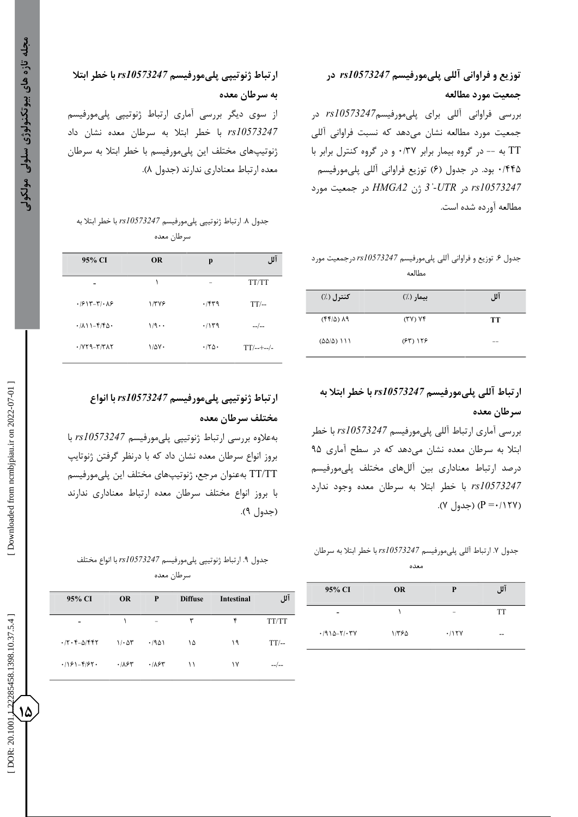# **توزیع و فراوانی آللی پلیمورفیسم** *10573247rs* **در جمعیت مورد مطالعه** بررسی فراوانی آللی برای پلیمورفیسم*10573247rs* در جمعیت مورد مطالعه نشان میدهد که نسبت فراوانی آللی TT به -- در گروه بیمار برابر ۰/۳۷ و در گروه کنترل برابر با ۱٬۴۴۵ بود. در جدول (۶) توزیع فراوانی آللی پلیمورفیسم *ˈ3* ژن *2HMGA* در جمعیت مورد *-UTR* در *rs10573247*

مطالعه آورده شده است.

### توزیع و فراوانی آللی پلیمورفیسم *10573247rs* درجمعیت مورد جدول 0 مطالعه

| کنترل (٪)                   | بيمار (٪)  | آلل |
|-----------------------------|------------|-----|
| (99/2)                      | (YY) Yf    | TТ  |
| $(\Delta\Delta/\Delta)$ 111 | $(55)$ 155 |     |

**ارتباط آللی پلیمورفیسم** *10573247rs* **با خطر ابتال به سرطان معده**

بررسی آماری ارتباط آللی پلیمورفیسم *10573247rs* با خطر ابتال به سرطان معده نشان میدهد که در سطح آماری 30 درصد ارتباط معناداری بین آللهای مختلف پلیمورفیسم *10573247rs* با خطر ابتال به سرطان معده وجود ندارد (۱۲۷×- P) (جدول ۷).

. ارتباط آللی پلیمورفیسم *10573247rs* با خطر ابتال به سرطان جدول 1 معده

| 95% CI          | <b>OR</b> | P     | آلل |
|-----------------|-----------|-------|-----|
|                 |           |       | TT  |
| $.7910 - Y / Y$ | ١/٣۶۵     | .115Y | --  |

# **ارتباط ژنوتیپی پلیمورفیسم** *10573247rs* **با خطر ابتال به سرطان معده**

از سوی دیگر بررسی آماری ارتباط ژنوتیپی پلیمورفیسم *10573247rs* با خطر ابتال به سرطان معده نشان داد ژنوتیپهای مختلف این پلیمورفیسم با خطر ابتال به سرطان .) معده ارتباط معناداری ندارند )جدول 1

## جدول ۸. ارتباط ژنوتیپی پلیمورفیسم *1810573247 ب*ا *خط*ر ابتلا به سرطان معده

| 95% CI                                                       | <b>OR</b>    | p     | آلا ،         |
|--------------------------------------------------------------|--------------|-------|---------------|
|                                                              | ١            |       | TT/TT         |
| $.1917 - 71.19$                                              | 1/۳۷۶        | .759  | $TT/-$        |
| $\cdot$ / $\wedge$ ) $-\frac{\varepsilon}{\varepsilon}$      | 1/9          | .714  | $-$ / $-$     |
| $\cdot$ / $\gamma$ $\gamma$ - $\gamma$ / $\gamma$ / $\gamma$ | $1/\Delta V$ | .180. | $TT/---$ --/- |
|                                                              |              |       |               |

# **ارتباط ژنوتیپی پلیمورفیسم** *10573247rs* **با انواع مختلف سرطان معده**

بهعالوه بررسی ارتباط ژنوتیپی پلیمورفیسم *10573247rs* با بروز انواع سرطان معده نشان داد که با درنظر گرفتن ژنوتایپ TT/TT بهعنوان مرجع، ژنوتیپهای مختلف این پلیمورفیسم با بروز انواع مختلف سرطان معده ارتباط معناداری ندارند .) )جدول 3

## . ارتباط ژنوتیپی پلیمورفیسم *10573247rs* با انواع مختلف جدول 3 سرطان معده

| 95% CI                                                                                    | <b>OR</b>          | P     | <b>Diffuse</b> | <b>Intestinal</b> | آلل    |
|-------------------------------------------------------------------------------------------|--------------------|-------|----------------|-------------------|--------|
|                                                                                           |                    |       | ٣              | ۴                 | TT/TT  |
| $\cdot$ /۲ $\cdot$ $\cdot$ $\sim$ $\cdot$ $\cdot$ $\cdot$ $\cdot$ $\cdot$ $\cdot$ $\cdot$ | $1/\cdot \Delta r$ | .7901 | ۱۵             | ۱۹                | $TT/-$ |
| $.181 - 872$                                                                              | ۶٬۱۸۶۳             | .787  | $\setminus$    | ۱۷                |        |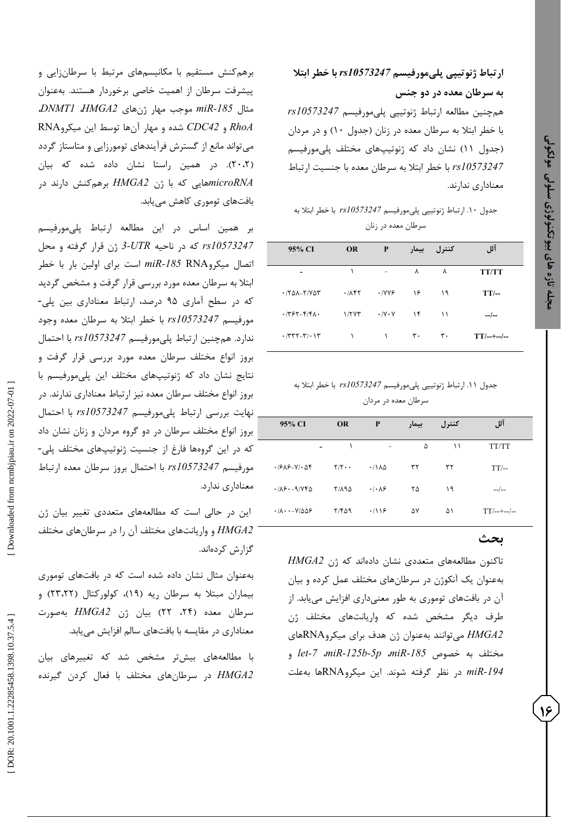## **ارتباط ژنوتیپی پلیمورفیسم** *10573247rs* **با خطر ابتال به سرطان معده در دو جنس**

همچنین مطالعه ارتباط ژنوتیپی پلیمورفیسم *10573247rs* با خطر ابتال به سرطان معده در زنان )جدول 75( و در مردان )جدول 77( نشان داد که ژنوتیپهای مختلف پلیمورفیسم *10573247rs* با خطر ابتال به سرطان معده با جنسیت ارتباط معناداری ندارند.

### جدول .75 ارتباط ژنوتیپی پلیمورفیسم *10573247rs* با خطر ابتال به سرطان معده در زنان

| 95% CI             | <b>OR</b> | P                    | بيمار | کنترل | آلل            |
|--------------------|-----------|----------------------|-------|-------|----------------|
|                    |           |                      | ٨     | ٨     | <b>TT/TT</b>   |
| $\cdot$ /٢۵۸-٢/٧۵٣ | .715      | .1YY9                | ۱۶    | ۱۹    | $TT$ --        |
| $\cdot$ /٣۶٢-۴/۴۸۰ | 1/7YT     | $\cdot$ /Y $\cdot$ Y | ۱۴    | ۱۱    | $-$ /--        |
| $\cdot$ /٣٣٢-٣/٠١٣ |           |                      | ٣٠    | ٣٠    | $TT$ /--+--/-- |

### جدول .77 ارتباط ژنوتیپی پلیمورفیسم *10573247rs* با خطر ابتال به سرطان معده در مردان

| 95% CI                                                                               | <b>OR</b>         | P                              | بيمار | کنترل | آلل          |
|--------------------------------------------------------------------------------------|-------------------|--------------------------------|-------|-------|--------------|
|                                                                                      | ١                 | $\overline{\phantom{m}}$       | ۵     | ۱۱    | TT/TT        |
| $-19A9 - V$ $-05$                                                                    | $Y/Y \cdot \cdot$ | $\cdot$ /182                   | ٣٢    | ٣٢    | $TT$ --      |
| $.105 - 9.096$                                                                       | 81117             | $\cdot$ / $\cdot$ / $\epsilon$ | ۲۵    | ۱۹    | $-$ / $-$    |
| $\cdot$ / $\Lambda$ $\cdot$ $\cdot$ $\sim$ $\cdot$ $\vee$ / $\Delta \Delta \epsilon$ | ٢/۴۵۹             | .119                           | ۵٧    | ۵۱    | $TT/---/---$ |

### **بحث**

های متعددی نشان دادهاند که ژن *2HMGA* تاکنون مطالعه بهعنوان یک آنکوژن در سرطانهای مختلف عمل کرده و بیان آن در بافتهای توموری به طور معنیداری افزایش مییابد. از طرف دیگر مشخص شده که واریانتهای مختلف ژن *2HMGA* میتوانند بهعنوان ژن هدف برای میکروRNAهای *let* و *- 7* ،*miR -125b -5p* ،*miR* مختلف به خصوص *-185 miR* در نظر گرفته شوند. این میکروRNAها بهعلت *-194*

برهمکنش مستقیم با مکانیسمهای مرتبط با سرطانزایی و پیشرفت سرطان از اهمیت خاصی برخوردار هستند. بهعنوان *miR* موجب مهار ژنهای *2HMGA*، *1DNMT*، مثال *-185 RhoA* و *42CDC* شده و مهار آنها توسط این میکروRNA میتواند مانع از گسترش فرآیندهای تومورزایی و متاستاز گردد (۲۰،۲). در همین راستا نشان داده شده که بیان *microRNA*هایی که با ژن *2HMGA* برهمکنش دارند در بافتهای توموری کاهش مییابد.

بر همین اساس در این مطالعه ارتباط پلیمورفیسم ژن قرار گرفته و محل *3 10573247rs* که در ناحیه *UTR miR* است برای اولین بار با خطر اتصال میکروRNA *-185* ابتلا به سرطان معده مورد بررسی قرار گرفت و مشخص گردید<br>که در سطح آماری ۹۵ درصد، ارتباط معناداری بین پلی-مورفیسم *10573247rs* با خطر ابتال به سرطان معده وجود ندارد. همچنین ارتباط پلیمورفیسم *10573247rs* با احتمال بروز انواع مختلف سرطان معده مورد بررسی قرار گرفت و نتایج نشان داد که ژنوتیپهای مختلف این پلیمورفیسم با بروز انواع مختلف سرطان معده نیز ارتباط معناداری ندارند. در نهایت بررسی ارتباط پلیمورفیسم *10573247rs* با احتمال بروز انواع مختلف سرطان در دو گروه مردان و زنان نشان داد<br>که در این گروهها فارغ از جنسیت ژنوتیپهای مختلف پلی-مورفیسم *10573247rs* با احتمال بروز سرطان معده ارتباط معناداری ندارد.

ین در حالی است که مطالعههای متعددی تغییر بیان ژن *2HMGA* و واریانتهای مختلف آن را در سرطانهای مختلف گزارش کردهاند.

بهعنوان مثال نشان داده شده است که در بافتهای توموری بیماران مبتلا به سرطان ریه (۱۹)، کولورکتال (۲۳،۲۲) و سرطان معده (۲۴، ۲۲) بیان ژن *HMGA2* بهصورت معناداری در مقایسه با بافتهای سالم افزایش مییابد.

با مطالعههای بیشتر مشخص شد که تغییرهای بیان *2HMGA* در سرطانهای مختلف با فعال کردن گیرنده  **مجله تازه های بیوتکنولوژی سلولی مولکولی**

جله تازه های بیوتکنولوژی سلولی مولکولی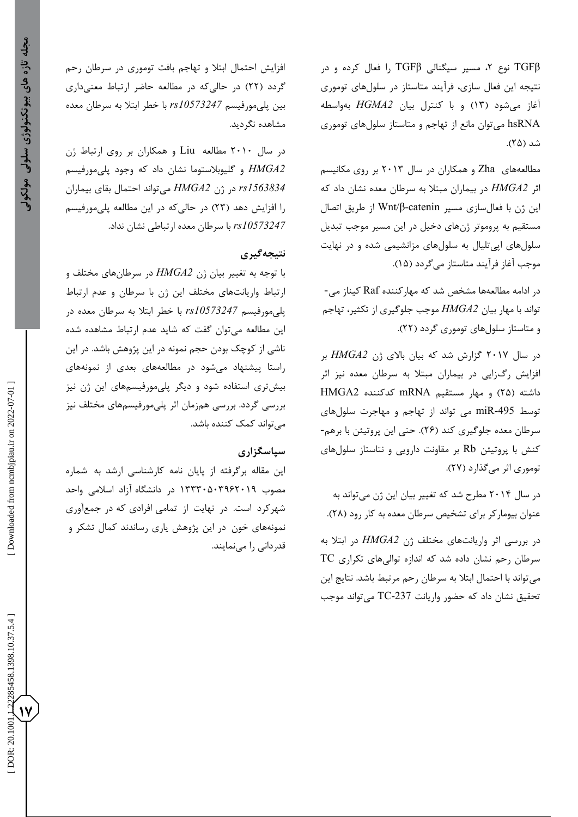، هولکولی

 [\[ DOR: 20.1001.1.22285458.1398.10.37.5](https://dorl.net/dor/20.1001.1.22285458.1398.10.37.5.4).4 ] [\[ Downloaded from ncmbjpiau.ir on 2022-0](http://ncmbjpiau.ir/article-1-1250-en.html)7-01 ] Downloaded from ncmbjpiau.ir on 2022-07-01

122285458.1398.10.37.5.4 **17** DOR: 20.100

افزایش احتمال ابتال و تهاجم بافت توموری در سرطان رحم گردد (۲۲) در حالیکه در مطالعه حاضر ارتباط معنیداری بین پلیمورفیسم *10573247rs* با خطر ابتال به سرطان معده مشاهده نگردید.

در سال 2575 مطالعه Liu و همکاران بر روی ارتباط ژن *2HMGA* و گلیوبالستوما نشان داد که وجود پلیمورفیسم *1563834rs* در ژن *2HMGA* میتواند احتمال بقای بیماران را افزایش دهد (۲۳) در حالیکه در این مطالعه پلیمورفیسم *10573247rs* با سرطان معده ارتباطی نشان نداد.

### **نتیجهگیری**

با توجه به تغییر بیان ژن *2HMGA* در سرطانهای مختلف و ارتباط واریانتهای مختلف این ژن با سرطان و عدم ارتباط مورفیسم *10573247rs* با خطر ابتال به سرطان معده در پلی این مطالعه میتوان گفت که شاید عدم ارتباط مشاهده شده ناشی از کوچک بودن حجم نمونه در این پژوهش باشد. در این راستا پیشنهاد میشود در مطالعههای بعدی از نمونههای بیشتری استفاده شود و دیگر پلیمورفیسمهای این ژن نیز بررسی گردد. بررسی همزمان اثر پلیمورفیسمهای مختلف نیز میتواند کمک کننده باشد.

### **سپاسگزاری**

این مقاله برگرفته از پایان نامه کارشناسی ارشد به شماره مصوب 79995059302573 در دانشگاه آزاد اسالمی واحد شهرکرد است. در نهایت از تمامی افرادی که در جمعآوری<br>نمونههای خون در این پژوهش یاری رساندند کمال تشکر و قدردانی را مینمایند. ، مسیر سیگنالی TGFβ را فعال کرده و در TGFβ نوع 2 نتیجه این فعال سازی، فرآیند متاستاز در سلولهای توموری و با کنترل بیان *2HGMA* بهواسطه )79 آغاز میشود ) شد )20(. hsRNA میتوان مانع از تهاجم و متاستاز سلولهای توموری

های Zha و همکاران در سال 2579 بر روی مکانیسم مطالعه اثر *2HMGA* در بیماران مبتال به سرطان معده نشان داد که β/Wnt از طریق اتصال این ژن با فعالسازی مسیر catenin- مستقیم به پروموتر ژنهای دخیل در این مسیر موجب تبدیل سلولهای اپیتلیال به سلولهای مزانشیمی شده و در نهایت<br>موجب آغاز فرآیند متاستاز میگردد (۱۵).<br>در ادامه مطالعهها مشخص شد که مهارکننده Raf کیناز می-

تواند با مهار بیان HMGA2 موجب جلوگیری از تکثیر، تهاجم<br>و متاستاز سلولهای توموری گردد (۲۲).

در سال 2571 گزارش شد که بیان باالی ژن *2HMGA* بر افزایش رگزایی در بیماران مبتال به سرطان معده نیز اثر داشته )20( و مهار مستقیم mRNA کدکننده 2HMGA miR می تواند از تهاجم و مهاجرت سلولهای توسط -495 سرطان معده جلوگیری کند )20(. حتی این پروتیئن با برهم- کنش با پروتیئن Rb بر مقاونت دارویی و نتاستاز سلولهای توموری اثر می گذارد (۲۷).

در سال 2570 مطرح شد که تغییر بیان این ژن میتواند به . عنوان بیومارکر برای تشخیص سرطان معده به کار رود (۲۸).

در بررسی اثر واریانتهای مختلف ژن *2HMGA* در ابتال به سرطان رحم نشان داده شد که اندازه توالیهای تکراری TC میتواند با احتمال ابتال به سرطان رحم مرتبط باشد. نتایج این نحقیق نشان داد که حضور واریانت TC-237 میتواند موجب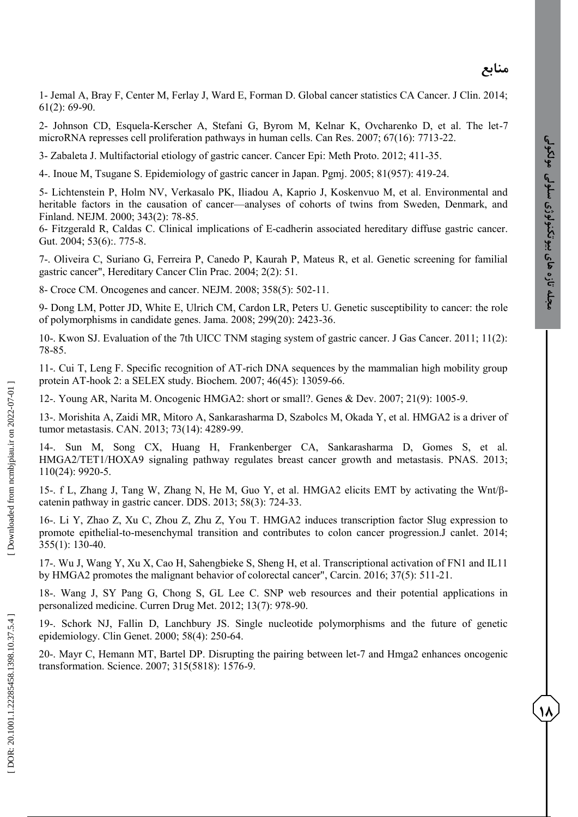**18**

1 - Jemal A, Bray F, Center M, Ferlay J, Ward E, Forman D. Global cancer statistics CA Cancer. J Clin. 2014; 61(2): 69 -90.

2 - Johnson CD, Esquela -Kerscher A, Stefani G, Byrom M, Kelnar K, Ovcharenko D, et al. The let -7 microRNA represses cell proliferation pathways in human cells. Can Res. 2007; 67(16): 7713 -22.

3 - Zabaleta J. Multifactorial etiology of gastric cancer. Cancer Epi: Meth Proto. 2012; 411 -35.

4 -. Inoue M, Tsugane S. Epidemiology of gastric cancer in Japan. Pgmj. 2005; 81(957): 419 -24.

5 - Lichtenstein P, Holm NV, Verkasalo PK, Iliadou A, Kaprio J, Koskenvuo M, et al. Environmental and heritable factors in the causation of cancer—analyses of cohorts of twins from Sweden, Denmark, and Finland. NEJM. 2000; 343(2): 78 -85.

6 - Fitzgerald R, Caldas C. Clinical implications of E -cadherin associated hereditary diffuse gastric cancer. Gut. 2004; 53(6):. 775-8.

7 -. Oliveira C, Suriano G, Ferreira P, Canedo P, Kaurah P, Mateus R, et al. Genetic screening for familial gastric cancer", Hereditary Cancer Clin Prac. 2004; 2(2): 51.

8- Croce CM. Oncogenes and cancer. NEJM. 2008; 358(5): 502 -11.

9 - Dong LM, Potter JD, White E, Ulrich CM, Cardon LR, Peters U. Genetic susceptibility to cancer: the role of polymorphisms in candidate genes. Jama. 2008; 299(20): 2423 -36.

10 -. Kwon SJ. Evaluation of the 7th UICC TNM staging system of gastric cancer. J Gas Cancer. 2011; 11(2): 78 -85.

11 -. Cui T, Leng F. Specific recognition of AT -rich DNA sequences by the mammalian high mobility group protein AT -hook 2: a SELEX study. Biochem. 2007; 46(45): 13059 -66.

12 -. Young AR, Narita M. Oncogenic HMGA2: short or small?. Genes & Dev. 2007; 21(9): 1005 -9.

13 -. Morishita A, Zaidi MR, Mitoro A, Sankarasharma D, Szabolcs M, Okada Y, et al. HMGA2 is a driver of tumor metastasis. CAN. 2013; 73(14): 4289 -99.

14 -. Sun M, Song CX, Huang H, Frankenberger CA, Sankarasharma D, Gomes S, et al. HMGA2/TET1/HOXA9 signaling pathway regulates breast cancer growth and metastasis. PNAS. 2013; 110(24): 9920 -5.

15 -. f L, Zhang J, Tang W, Zhang N, He M, Guo Y, et al. HMGA2 elicits EMT by activating the Wnt/β catenin pathway in gastric cancer. DDS. 2013; 58(3): 724 -33.

16 -. Li Y, Zhao Z, Xu C, Zhou Z, Zhu Z, You T. HMGA2 induces transcription factor Slug expression to promote epithelial-to-mesenchymal transition and contributes to colon cancer progression.J canlet. 2014; 355(1): 130 -40.

17 -. Wu J, Wang Y, Xu X, Cao H, Sahengbieke S, Sheng H, et al. Transcriptional activation of FN1 and IL11 by HMGA2 promotes the malignant behavior of colorectal cancer", Carcin. 2016; 37(5): 511 -21.

18 -. Wang J, SY Pang G, Chong S, GL Lee C. SNP web resources and their potential applications in personalized medicine. Curren Drug Met. 2012; 13(7): 978 -90.

19 -. Schork NJ, Fallin D, Lanchbury JS. Single nucleotide polymorphisms and the future of genetic epidemiology. Clin Genet. 2000; 58(4): 250 -64.

20 -. Mayr C, Hemann MT, Bartel DP. Disrupting the pairing between let -7 and Hmga2 enhances oncogenic transformation. Science. 2007; 315(5818): 1576 -9.